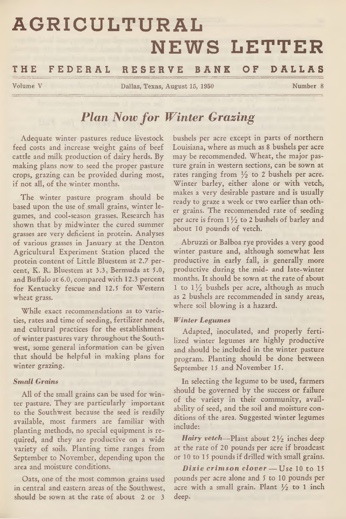# **AGRICULTURAL NEWS LETTER**

# **T HE F E D E R A L R E S E R V E BANK OF DALLAS**

Volume V Dallas, Texas, August 15, 1950 Number 8

# *Plan Now for Winter Grazing*

Adequate winter pastures reduce livestock feed costs and increase weight gains of beef cattle and milk production of dairy herds. By making plans now to seed the proper pasture crops, grazing can be provided during most, if not all, of the winter months.

The winter pasture program should be based upon the use of small grains, winter legumes, and cool-season grasses. Research has shown that by midwinter the cured summer grasses are very deficient in protein. Analyses of various grasses in January at the Denton Agricultural Experiment Station placed the protein content of Little Bluestem at 2.7 percent, K. R. Bluestem at 3.3, Bermuda at 5.0, and Buffalo at 6.0, compared with 12.3 percent for Kentucky fescue and 12.5 for Western wheat grass.

While exact recommendations as to varieties, rates and time of seeding, fertilizer needs, and cultural practices for the establishment of winter pastures vary throughout the Southwest, some general information can be given that should be helpful in making plans for winter grazing.

#### *Small Grains*

All of the small grains can be used for winter pasture. They are particularly important to the Southwest because the seed is readily available, most farmers are familiar with planting methods, no special equipment is required, and they are productive on a wide variety of soils. Planting time ranges from September to November, depending upon the area and moisture conditions.

Oats, one of the most common grains used in central and eastern areas of the Southwest, should be sown at the rate of about 2 or 3

bushels per acre except in parts of northern Louisiana, where as much as 8 bushels per acre may be recommended. Wheat, the major pasture grain in western sections, can be sown at rates ranging from  $\frac{1}{2}$  to 2 bushels per acre. Winter barley, either alone or with vetch, makes a very desirable pasture and is usually ready to graze a week or two earlier than other grains. The recommended rate of seeding per acre is from  $1\frac{1}{2}$  to 2 bushels of barley and about 10 pounds of vetch.

Abruzzi or Balboa rye provides a very good winter pasture and, although somewhat less productive in early fall, is generally more productive during the mid- and late-winter months. It should be sown at the rate of about 1 to  $1\frac{1}{2}$  bushels per acre, although as much as 2 bushels are recommended in sandy areas, where soil blowing is a hazard.

#### *W inter Legum es*

Adapted, inoculated, and properly fertilized winter legumes are highly productive and should be included in the winter pasture program. Planting should be done between September 15 and November 15.

In selecting the legume to be used, farmers should be governed by the success or failure of the variety in their community, availability of seed, and the soil and moisture conditions of the area. Suggested winter legumes include:

*Hairy vetch*—Plant about  $2\frac{1}{2}$  inches deep at the rate of 20 pounds per acre if broadcast or 10 to 15 pounds if drilled with small grains.

*Dixie crimson clover* - Use 10 to 15 pounds per acre alone and 5 to 10 pounds per acre with a small grain. Plant  $\frac{1}{2}$  to 1 inch deep.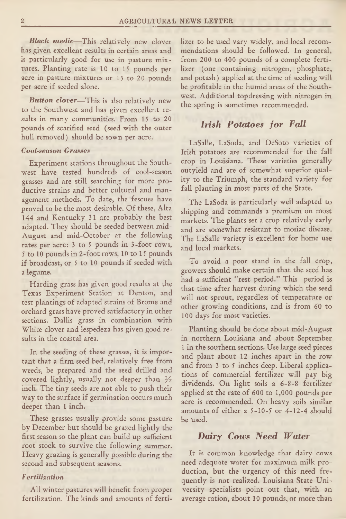*Black medic*—This relatively new clover has given excellent results in certain areas and is particularly good for use in pasture mixtures. Planting rate is 10 to 15 pounds per acre in pasture mixtures or 15 to 20 pounds per acre if seeded alone.

*Button clover*—This is also relatively new to the Southwest and has given excellent results in many communities. From 15 to 20 pounds of scarified seed (seed with the outer hull removed) should be sown per acre.

#### *Cool-season Grasses*

Experiment stations throughout the Southwest have tested hundreds of cool-season grasses and are still searching for more productive strains and better cultural and management methods. To date, the fescues have proved to be the most desirable. Of these, Alta 144 and Kentucky 31 are probably the best adapted. They should be seeded between mid-August and mid-October at the following rates per acre: 3 to 5 pounds in 3-foot rows, 5 to 10 pounds in 2-foot rows, 10 to 15 pounds if broadcast, or 5 to 10 pounds if seeded with a legume.

Harding grass has given good results at the Texas Experiment Station at Denton, and test plantings of adapted strains of Brome and orchard grass have proved satisfactory in other sections. Dallis grass in combination with White clover and lespedeza has given good results in the coastal area.

In the seeding of these grasses, it is important that a firm seed bed, relatively free from weeds, be prepared and the seed drilled and covered lightly, usually not deeper than */z* inch. The tiny seeds are not able to push their way to the surface if germination occurs much deeper than 1 inch.

These grasses usually provide some pasture by December but should be grazed lightly the first season so the plant can build up sufficient root stock to survive the following summer. Heavy grazing is generally possible during the second and subsequent seasons.

#### *Fertilization*

All winter pastures will benefit from proper fertilization. The kinds and amounts of fertilizer to be used vary widely, and local recommendations should be followed. In general, from 200 to 400 pounds of a complete fertilizer (one containing nitrogen, phosphate, and potash) applied at the time of seeding will be profitable in the humid areas of the Southwest. Additional topdressing with nitrogen in the spring is sometimes recommended.

# *Irish Potatoes for Fall*

LaSalle, LaSoda, and DeSoto varieties of Irish potatoes are recommended for the fall crop in Louisiana. These varieties generally outyield and are of somewhat superior quality to the Triumph, the standard variety for fall planting in most parts of the State.

The LaSoda is particularly well adapted to shipping and commands a premium on most markets. The plants set a crop relatively early and are somewhat resistant to mosiac disease. The LaSalle variety is excellent for home use and local markets.

To avoid a poor stand in the fall crop, growers should make certain that the seed has had a sufficient "rest period." This period is that time after harvest during which the seed will not sprout, regardless of temperature or other growing conditions, and is from 60 to 100 days for most varieties.

Planting should be done about mid-August in northern Louisiana and about September 1 in the southern sections. Use large seed pieces and plant about 12 inches apart in the row and from 3 to 5 inches deep. Liberal applications of commercial fertilizer will pay big dividends. On light soils a 6-8-8 fertilizer applied at the rate of 600 to 1,000 pounds per acre is recommended. On heavy soils similar amounts of either a 5-10-5 or 4-12-4 should be used.

#### *Dairy Cows Need Water*

It is common knowledge that dairy cows need adequate water for maximum milk production, but the urgency of this need frequently is not realized. Louisiana State University specialists point out that, with an average ration, about 10 pounds, or more than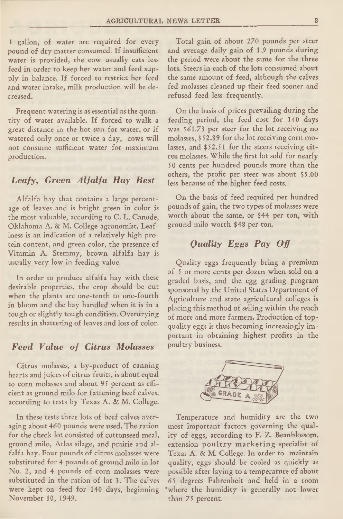1 gallon, of water are required for every pound of dry matter consumed. If insufficient water is provided, the cow usually eats less feed in order to keep her water and feed supply in balance. If forced to restrict her feed and water intake, milk production will be decreased.

Frequent watering is as essential as the quantity of water available. If forced to walk a great distance in the hot sun for water, or if watered only once or twice a day, cows will not consume sufficient water for maximum production.

# *Leafy***,** *Green Alfalfa Hay Best*

Alfalfa hay that contains a large percentage of leaves and is bright green in color is the most valuable, according to C. L. Canode, Oklahoma A. & M. College agronomist. Leafiness is an indication of a relatively high protein content, and green color, the presence of Vitamin A. Stemmy, brown alfalfa hay is usually very low in feeding value.

In order to produce alfalfa hay with these desirable properties, the crop should be cut when the plants are one-tenth to one-fourth in bloom and the hay handled when it is in a tough or slightly tough condition. Overdrying results in shattering of leaves and loss of color.

#### *Feed Value of Citrus Molasses*

Citrus molasses, a by-product of canning hearts and juices of citrus fruits, is about equal to corn molasses and about 95 percent as efficient as ground milo for fattening beef calves, according to tests by Texas A. & M. College.

In these tests three lots of beef calves averaging about 460 pounds were used. The ration for the check lot consisted of cottonseed meal, ground milo, Atlas silage, and prairie and alfalfa hay. Four pounds of citrus molasses were substituted for 4 pounds of ground milo in lot No. 2, and 4 pounds of corn molasses were substituted in the ration of lot 3. The calves were kept on feed for 140 days, beginning November 10, 1949.

Total gain of about 270 pounds per steer and average daily gain of 1.9 pounds during the period were about the same for the three lots. Steers in each of the lots consumed about the same amount of feed, although the calves fed molasses cleaned up their feed sooner and refused feed less frequently.

On the basis of prices prevailing during the feeding period, the feed cost for 140 days was \$61.73 per steer for the lot receiving no molasses, \$52.89 for the lot receiving corn molasses, and \$52.51 for the steers receiving citrus molasses. While the first lot sold for nearly 50 cents per hundred pounds more than the others, the profit per steer was about \$5.00 less because of the higher feed costs.

On the basis of feed required per hundred pounds of gain, the two types of molasses were worth about the same, or \$44 per ton, with ground milo worth \$48 per ton.

# *Quality Eggs Pay Off*

Quality eggs frequently bring a premium of 5 or more cents per dozen when sold on a graded basis, and the egg grading program sponsored by the United States Department of Agriculture and state agricultural colleges is placing this method of selling within the reach of more and more farmers. Production of topquality eggs is thus becoming increasingly important in obtaining highest profits in the poultry business.



Temperature and humidity are the two most important factors governing the quality of eggs, according to F. Z. Beanblossom, extension poultry marketing specialist of Texas A. & M. College. In order to maintain quality, eggs should be cooled as quickly as possible after laying to a temperature of about 65 degrees Fahrenheit and held in a room 'where the humidity is generally not lower than 75 percent.